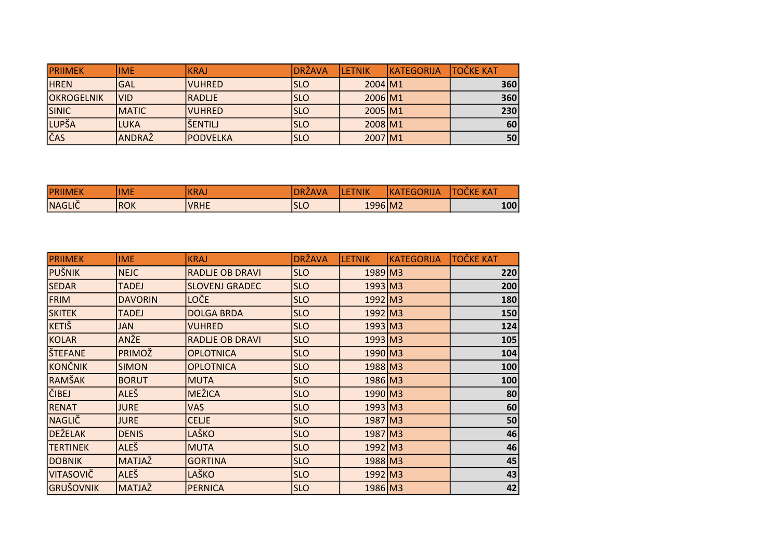| <b>PRIIMEK</b>    | lime          | <b>IKRAJ</b>     | DRŽAVA | <b>ILETNIK</b>      | <b>IKATEGORIJA</b> | <b>TOČKE KAT</b> |
|-------------------|---------------|------------------|--------|---------------------|--------------------|------------------|
| <b>HREN</b>       | <b>GAL</b>    | <b>IVUHRED</b>   | ISLO   | 2004 M1             |                    | 360              |
| <b>OKROGELNIK</b> | lvid          | <b>RADLJE</b>    | ISLO   | 2006 M1             |                    | 360              |
| SINIC             | <b>IMATIC</b> | <b>IVUHRED</b>   | ISLO   | $2005 \, \text{M1}$ |                    | 230              |
| LUPŠA             | <b>LUKA</b>   | <b>ŠENTILJ</b>   | ISLO   | 2008 M1             |                    | 60               |
| ČAS               | <b>ANDRAŽ</b> | <b>IPODVELKA</b> | ISLO   | 2007 M1             |                    | 50               |

| <b>PRIIMEK</b>             | <b>IME</b> | <b>IKRA</b> | DRZ.<br><b>AV.</b> | 'NIK    | ΙK.<br>Δ<br>IJΑ<br>$\blacksquare$ | <b>KAT</b><br>$ -$<br>кı<br>. . |
|----------------------------|------------|-------------|--------------------|---------|-----------------------------------|---------------------------------|
| $\bullet$<br><b>NAGLIC</b> | ROK        | <b>VRHE</b> | $\sim$<br>ISLU     | 1996 M2 |                                   | 100                             |

| <b>PRIIMEK</b>   | <b>IME</b>     | <b>KRAJ</b>            | <b>DRŽAVA</b> | <b>LETNIK</b> | KATEGORIJA | <b>TOČKE KAT</b> |
|------------------|----------------|------------------------|---------------|---------------|------------|------------------|
| <b>PUŠNIK</b>    | <b>NEJC</b>    | <b>RADLJE OB DRAVI</b> | <b>SLO</b>    | $1989$ M3     |            | 220              |
| <b>SEDAR</b>     | <b>TADEJ</b>   | <b>SLOVENJ GRADEC</b>  | <b>SLO</b>    | $1993$ M3     |            | 200              |
| <b>FRIM</b>      | <b>DAVORIN</b> | LOČE                   | <b>SLO</b>    | $1992$ M3     |            | 180              |
| <b>SKITEK</b>    | <b>TADEJ</b>   | <b>DOLGA BRDA</b>      | <b>SLO</b>    | $1992$ M3     |            | 150              |
| <b>KETIŠ</b>     | <b>JAN</b>     | <b>VUHRED</b>          | <b>SLO</b>    | $1993$ M3     |            | 124              |
| <b>KOLAR</b>     | <b>ANŽE</b>    | <b>RADLJE OB DRAVI</b> | <b>SLO</b>    | 1993 M3       |            | 105              |
| <b>ŠTEFANE</b>   | PRIMOŽ         | <b>OPLOTNICA</b>       | <b>SLO</b>    | $1990$ M3     |            | 104              |
| <b>KONČNIK</b>   | <b>SIMON</b>   | <b>OPLOTNICA</b>       | <b>SLO</b>    | 1988 M3       |            | 100              |
| RAMŠAK           | <b>BORUT</b>   | <b>MUTA</b>            | <b>SLO</b>    | $1986$ M3     |            | 100              |
| <b>ČIBEJ</b>     | <b>ALEŠ</b>    | MEŽICA                 | <b>SLO</b>    | $1990$ M3     |            | 80               |
| <b>RENAT</b>     | <b>JURE</b>    | <b>VAS</b>             | <b>SLO</b>    | $1993$ M3     |            | 60               |
| <b>NAGLIČ</b>    | <b>JURE</b>    | <b>CELJE</b>           | <b>SLO</b>    | $1987$ M3     |            | 50               |
| <b>DEŽELAK</b>   | <b>DENIS</b>   | LAŠKO                  | <b>SLO</b>    | $1987$ M3     |            | 46               |
| <b>TERTINEK</b>  | <b>ALEŠ</b>    | <b>MUTA</b>            | <b>SLO</b>    | $1992$ M3     |            | 46               |
| <b>DOBNIK</b>    | MATJAŽ         | <b>GORTINA</b>         | <b>SLO</b>    | 1988 M3       |            | 45               |
| <b>VITASOVIČ</b> | <b>ALEŠ</b>    | LAŠKO                  | <b>SLO</b>    | $1992$ M3     |            | 43               |
| <b>GRUŠOVNIK</b> | MATJAŽ         | PERNICA                | <b>SLO</b>    | $1986$ M3     |            | 42               |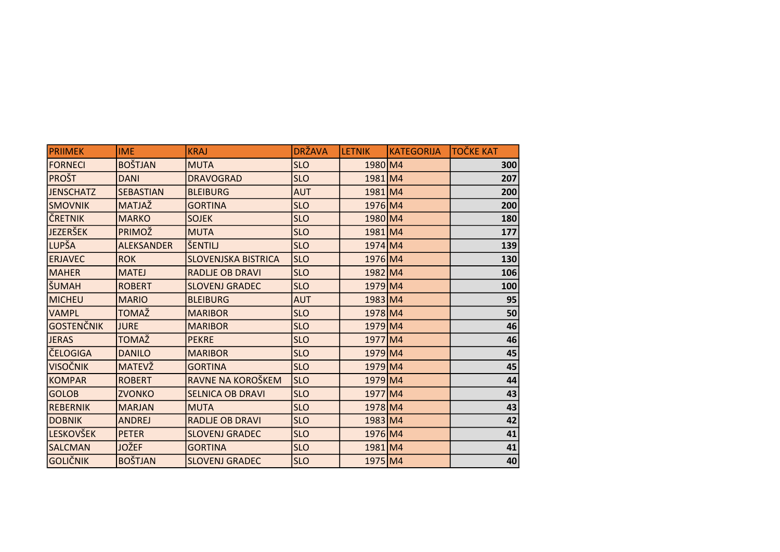| <b>PRIIMEK</b>    | <b>IME</b>        | <b>KRAJ</b>                | <b>DRŽAVA</b> | <b>LETNIK</b>      | KATEGORIJA | <b>TOČKE KAT</b> |
|-------------------|-------------------|----------------------------|---------------|--------------------|------------|------------------|
| <b>FORNECI</b>    | <b>BOŠTJAN</b>    | <b>MUTA</b>                | <b>SLO</b>    | 1980 M4            |            | 300              |
| <b>PROŠT</b>      | <b>DANI</b>       | <b>DRAVOGRAD</b>           | <b>SLO</b>    | 1981 M4            |            | 207              |
| <b>JENSCHATZ</b>  | <b>SEBASTIAN</b>  | <b>BLEIBURG</b>            | <b>AUT</b>    | 1981 M4            |            | 200              |
| <b>SMOVNIK</b>    | MATJAŽ            | <b>GORTINA</b>             | <b>SLO</b>    | $1976$ M4          |            | 200              |
| ČRETNIK           | <b>MARKO</b>      | <b>SOJEK</b>               | <b>SLO</b>    | 1980 M4            |            | 180              |
| <b>JEZERŠEK</b>   | PRIMOŽ            | <b>MUTA</b>                | <b>SLO</b>    | 1981 M4            |            | 177              |
| LUPŠA             | <b>ALEKSANDER</b> | lšentilj                   | <b>SLO</b>    | $1974 \, \text{M}$ |            | 139              |
| <b>ERJAVEC</b>    | <b>ROK</b>        | <b>SLOVENJSKA BISTRICA</b> | <b>SLO</b>    | $1976$ M4          |            | 130              |
| <b>MAHER</b>      | <b>MATEJ</b>      | <b>RADLJE OB DRAVI</b>     | <b>SLO</b>    | 1982 M4            |            | 106              |
| ŠUMAH             | <b>ROBERT</b>     | <b>SLOVENJ GRADEC</b>      | <b>SLO</b>    | 1979 M4            |            | 100              |
| <b>MICHEU</b>     | <b>MARIO</b>      | <b>BLEIBURG</b>            | <b>AUT</b>    | $1983$ M4          |            | 95               |
| <b>VAMPL</b>      | TOMAŽ             | <b>MARIBOR</b>             | <b>SLO</b>    | 1978 M4            |            | 50               |
| <b>GOSTENČNIK</b> | <b>JURE</b>       | <b>MARIBOR</b>             | <b>SLO</b>    | $1979$ M4          |            | 46               |
| <b>JERAS</b>      | TOMAŽ             | <b>PEKRE</b>               | <b>SLO</b>    | 1977 M4            |            | 46               |
| <b>ČELOGIGA</b>   | <b>DANILO</b>     | <b>MARIBOR</b>             | <b>SLO</b>    | $1979$ M4          |            | 45               |
| <b>VISOČNIK</b>   | MATEVŽ            | <b>GORTINA</b>             | <b>SLO</b>    | $1979$ M4          |            | 45               |
| KOMPAR            | <b>ROBERT</b>     | RAVNE NA KOROŠKEM          | <b>SLO</b>    | $1979$ M4          |            | 44               |
| <b>GOLOB</b>      | <b>ZVONKO</b>     | <b>SELNICA OB DRAVI</b>    | <b>SLO</b>    | 1977 M4            |            | 43               |
| REBERNIK          | <b>MARJAN</b>     | <b>MUTA</b>                | <b>SLO</b>    | 1978 M4            |            | 43               |
| <b>DOBNIK</b>     | <b>ANDREJ</b>     | <b>RADLJE OB DRAVI</b>     | <b>SLO</b>    | 1983 M4            |            | 42               |
| <b>LESKOVŠEK</b>  | <b>PETER</b>      | <b>SLOVENJ GRADEC</b>      | <b>SLO</b>    | $1976$ M4          |            | 41               |
| <b>SALCMAN</b>    | <b>JOŽEF</b>      | <b>GORTINA</b>             | <b>SLO</b>    | 1981 M4            |            | 41               |
| <b>GOLIČNIK</b>   | <b>BOŠTJAN</b>    | <b>SLOVENJ GRADEC</b>      | <b>SLO</b>    | 1975 M4            |            | 40               |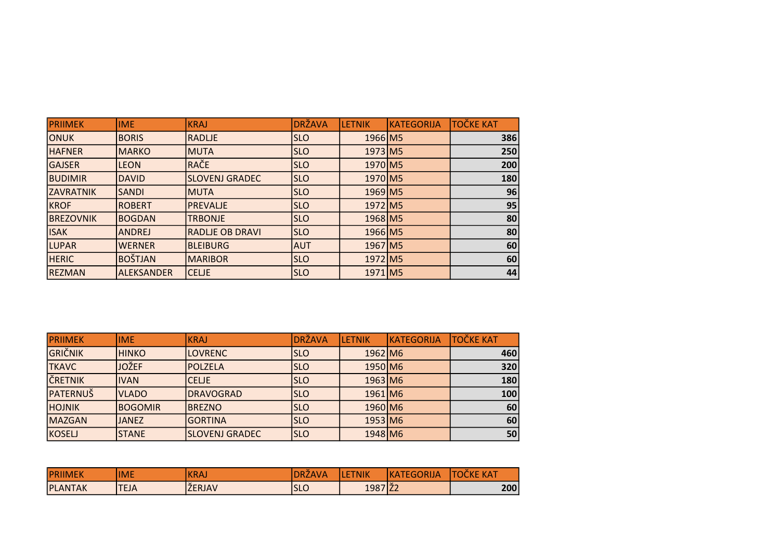| <b>PRIIMEK</b>   | <b>IME</b>     | KRAJ                   | <b>DRŽAVA</b> | <b>LETNIK</b>       | KATEGORIJA | <b>TOČKE KAT</b> |
|------------------|----------------|------------------------|---------------|---------------------|------------|------------------|
| ONUK             | <b>BORIS</b>   | RADLJE                 | ISLO          | 1966 M5             |            | 386              |
| <b>HAFNER</b>    | <b>MARKO</b>   | <b>MUTA</b>            | <b>SLO</b>    | 1973 M5             |            | 250              |
| <b>GAJSER</b>    | <b>LEON</b>    | RAČE                   | <b>SLO</b>    | 1970 M <sub>5</sub> |            | 200              |
| <b>BUDIMIR</b>   | DAVID          | <b>SLOVENJ GRADEC</b>  | <b>SLO</b>    | 1970 M <sub>5</sub> |            | 180              |
| <b>ZAVRATNIK</b> | <b>SANDI</b>   | <b>MUTA</b>            | <b>SLO</b>    | 1969 M5             |            | 96               |
| <b>KROF</b>      | <b>ROBERT</b>  | <b>PREVALJE</b>        | <b>SLO</b>    | 1972 M <sub>5</sub> |            | 95               |
| <b>BREZOVNIK</b> | BOGDAN         | <b>TRBONJE</b>         | <b>SLO</b>    | 1968 M5             |            | 80               |
| <b>ISAK</b>      | <b>ANDREJ</b>  | <b>RADLJE OB DRAVI</b> | <b>SLO</b>    | 1966 M5             |            | 80               |
| <b>LUPAR</b>     | <b>WERNER</b>  | BLEIBURG               | <b>AUT</b>    | 1967 M5             |            | 60               |
| <b>HERIC</b>     | <b>BOŠTJAN</b> | <b>MARIBOR</b>         | <b>SLO</b>    | 1972 M <sub>5</sub> |            | 60               |
| <b>REZMAN</b>    | ALEKSANDER     | <b>CELJE</b>           | <b>SLO</b>    | 1971 M5             |            | 44               |

| <b>PRIIMEK</b>  | lime           | <b>KRAJ</b>           | <b>DRŽAVA</b> | <b>LETNIK</b>         | <b>KATEGORIJA</b> | <b>TOČKE KAT</b> |
|-----------------|----------------|-----------------------|---------------|-----------------------|-------------------|------------------|
| <b>GRIČNIK</b>  | <b>HINKO</b>   | <b>LOVRENC</b>        | <b>SLO</b>    | 1962 M <sub>6</sub>   |                   | 460              |
| <b>TKAVC</b>    | <b>JOŽEF</b>   | <b>IPOLZELA</b>       | <b>SLO</b>    | 1950 M6               |                   | 320              |
| ČRETNIK         | <b>IVAN</b>    | <b>CELJE</b>          | <b>SLO</b>    | $1963$ M6             |                   | 180              |
| <b>PATERNUŠ</b> | <b>VLADO</b>   | <b>DRAVOGRAD</b>      | <b>SLO</b>    | $1961$ M <sub>6</sub> |                   | 100              |
| <b>HOJNIK</b>   | <b>BOGOMIR</b> | <b>BREZNO</b>         | <b>SLO</b>    | 1960 M6               |                   | 60               |
| MAZGAN          | <b>JANEZ</b>   | <b>GORTINA</b>        | <b>SLO</b>    | $1953$ M6             |                   | 60               |
| KOSELJ          | <b>STANE</b>   | <b>SLOVENJ GRADEC</b> | <b>SLO</b>    | $1948$ M6             |                   | 50               |

| $A \sqcap L$<br><b>PRIII</b><br>WIEN | <b>IME</b>  | <b>IKRAJ</b>            | $\sim$<br>$\Lambda$<br><i><b>IA</b></i><br>DR2 | ГNІК<br>. . | <b>COLLECT</b><br>ЧK.<br>ΔY<br>9K F<br>. FIFI | <b>KAT</b><br>٦О<br>ш |
|--------------------------------------|-------------|-------------------------|------------------------------------------------|-------------|-----------------------------------------------|-----------------------|
| <b>PLANTAK</b>                       | <b>TEJA</b> | $\sim$<br><b>ŽERJAV</b> | $\sqrt{ }$<br>ו הו<br>ISLU                     | 1987 22     |                                               | 200                   |